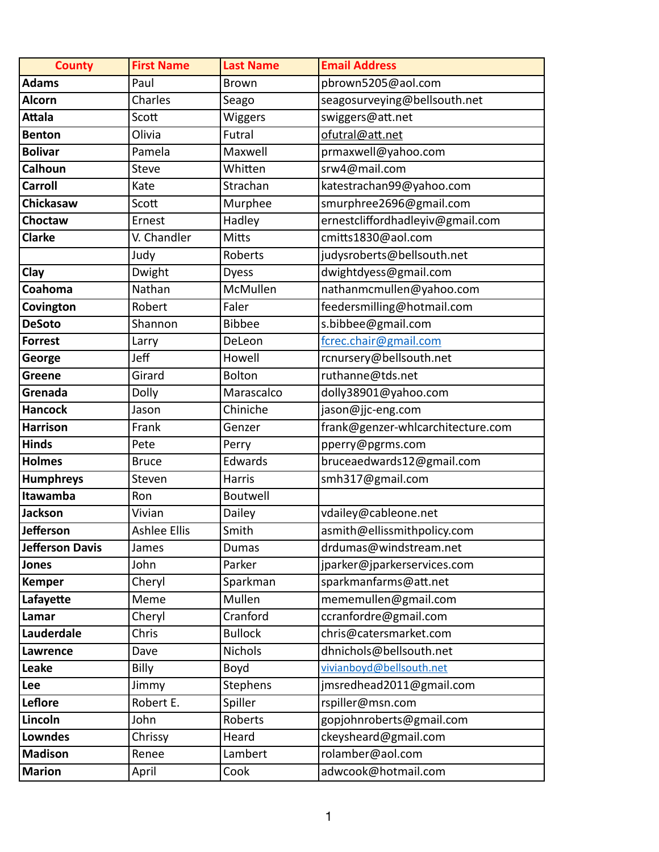| <b>County</b>    | <b>First Name</b>   | <b>Last Name</b> | <b>Email Address</b>              |
|------------------|---------------------|------------------|-----------------------------------|
| <b>Adams</b>     | Paul                | <b>Brown</b>     | pbrown5205@aol.com                |
| Alcorn           | Charles             | Seago            | seagosurveying@bellsouth.net      |
| Attala           | Scott               | Wiggers          | swiggers@att.net                  |
| <b>Benton</b>    | Olivia              | Futral           | ofutral@att.net                   |
| <b>Bolivar</b>   | Pamela              | Maxwell          | prmaxwell@yahoo.com               |
| <b>Calhoun</b>   | Steve               | Whitten          | srw4@mail.com                     |
| <b>Carroll</b>   | Kate                | Strachan         | katestrachan99@yahoo.com          |
| <b>Chickasaw</b> | Scott               | Murphee          | smurphree2696@gmail.com           |
| Choctaw          | Ernest              | Hadley           | ernestcliffordhadleyiv@gmail.com  |
| <b>Clarke</b>    | V. Chandler         | Mitts            | cmitts1830@aol.com                |
|                  | Judy                | Roberts          | judysroberts@bellsouth.net        |
| <b>Clay</b>      | Dwight              | <b>Dyess</b>     | dwightdyess@gmail.com             |
| Coahoma          | Nathan              | McMullen         | nathanmcmullen@yahoo.com          |
| Covington        | Robert              | Faler            | feedersmilling@hotmail.com        |
| <b>DeSoto</b>    | Shannon             | <b>Bibbee</b>    | s.bibbee@gmail.com                |
| Forrest          | Larry               | DeLeon           | fcrec.chair@gmail.com             |
| George           | Jeff                | Howell           | rcnursery@bellsouth.net           |
| Greene           | Girard              | <b>Bolton</b>    | ruthanne@tds.net                  |
| Grenada          | Dolly               | Marascalco       | dolly38901@yahoo.com              |
| <b>Hancock</b>   | Jason               | Chiniche         | jason@jjc-eng.com                 |
| <b>Harrison</b>  | Frank               | Genzer           | frank@genzer-whlcarchitecture.com |
| Hinds            | Pete                | Perry            | pperry@pgrms.com                  |
| Holmes           | <b>Bruce</b>        | Edwards          | bruceaedwards12@gmail.com         |
| <b>Humphreys</b> | Steven              | <b>Harris</b>    | smh317@gmail.com                  |
| Itawamba         | Ron                 | Boutwell         |                                   |
| Jackson          | Vivian              | Dailey           | vdailey@cableone.net              |
| Jefferson        | <b>Ashlee Ellis</b> | Smith            | asmith@ellissmithpolicy.com       |
| Jefferson Davis  | James               | <b>Dumas</b>     | drdumas@windstream.net            |
| Jones            | John                | Parker           | jparker@jparkerservices.com       |
| Kemper           | Cheryl              | Sparkman         | sparkmanfarms@att.net             |
| Lafayette        | Meme                | Mullen           | mememullen@gmail.com              |
| Lamar            | Cheryl              | Cranford         | ccranfordre@gmail.com             |
| Lauderdale       | Chris               | <b>Bullock</b>   | chris@catersmarket.com            |
| Lawrence         | Dave                | <b>Nichols</b>   | dhnichols@bellsouth.net           |
| Leake            | Billy               | Boyd             | vivianboyd@bellsouth.net          |
| Lee              | Jimmy               | <b>Stephens</b>  | jmsredhead2011@gmail.com          |
| Leflore          | Robert E.           | Spiller          | rspiller@msn.com                  |
| Lincoln          | John                | Roberts          | gopjohnroberts@gmail.com          |
| Lowndes          | Chrissy             | Heard            | ckeysheard@gmail.com              |
| <b>Madison</b>   | Renee               | Lambert          | rolamber@aol.com                  |
| Marion           | April               | Cook             | adwcook@hotmail.com               |